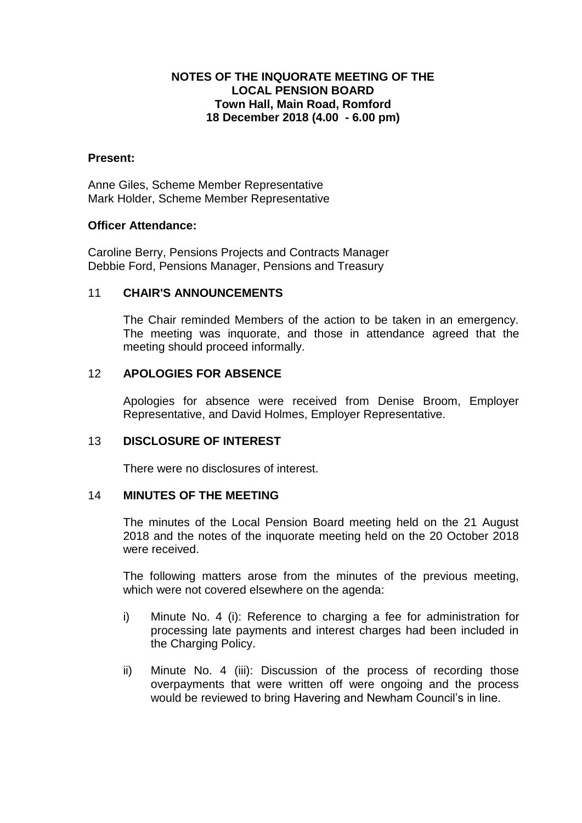## **NOTES OF THE INQUORATE MEETING OF THE LOCAL PENSION BOARD Town Hall, Main Road, Romford 18 December 2018 (4.00 - 6.00 pm)**

#### **Present:**

Anne Giles, Scheme Member Representative Mark Holder, Scheme Member Representative

### **Officer Attendance:**

Caroline Berry, Pensions Projects and Contracts Manager Debbie Ford, Pensions Manager, Pensions and Treasury

### 11 **CHAIR'S ANNOUNCEMENTS**

The Chair reminded Members of the action to be taken in an emergency. The meeting was inquorate, and those in attendance agreed that the meeting should proceed informally.

## 12 **APOLOGIES FOR ABSENCE**

Apologies for absence were received from Denise Broom, Employer Representative, and David Holmes, Employer Representative.

#### 13 **DISCLOSURE OF INTEREST**

There were no disclosures of interest.

#### 14 **MINUTES OF THE MEETING**

The minutes of the Local Pension Board meeting held on the 21 August 2018 and the notes of the inquorate meeting held on the 20 October 2018 were received.

The following matters arose from the minutes of the previous meeting, which were not covered elsewhere on the agenda:

- i) Minute No. 4 (i): Reference to charging a fee for administration for processing late payments and interest charges had been included in the Charging Policy.
- ii) Minute No. 4 (iii): Discussion of the process of recording those overpayments that were written off were ongoing and the process would be reviewed to bring Havering and Newham Council's in line.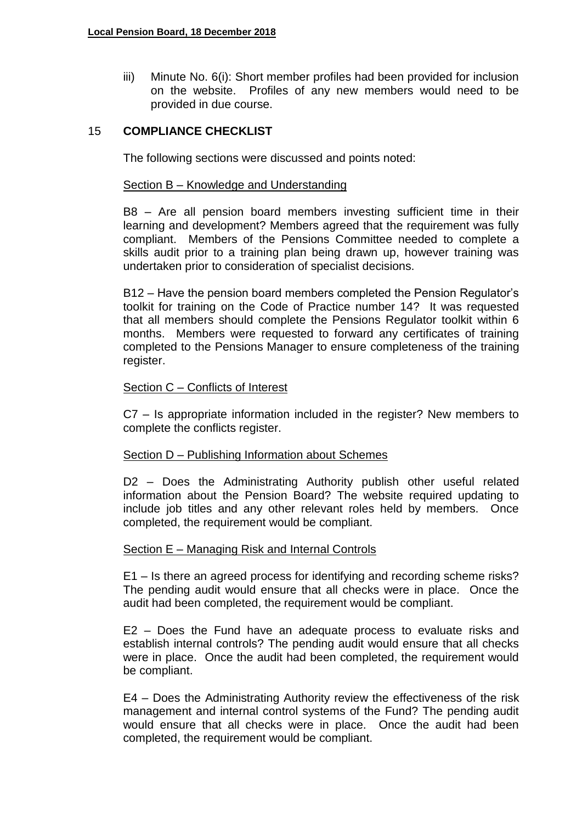iii) Minute No. 6(i): Short member profiles had been provided for inclusion on the website. Profiles of any new members would need to be provided in due course.

## 15 **COMPLIANCE CHECKLIST**

The following sections were discussed and points noted:

### Section B – Knowledge and Understanding

B8 – Are all pension board members investing sufficient time in their learning and development? Members agreed that the requirement was fully compliant. Members of the Pensions Committee needed to complete a skills audit prior to a training plan being drawn up, however training was undertaken prior to consideration of specialist decisions.

B12 – Have the pension board members completed the Pension Regulator's toolkit for training on the Code of Practice number 14? It was requested that all members should complete the Pensions Regulator toolkit within 6 months. Members were requested to forward any certificates of training completed to the Pensions Manager to ensure completeness of the training register.

### Section C – Conflicts of Interest

C7 – Is appropriate information included in the register? New members to complete the conflicts register.

#### Section D – Publishing Information about Schemes

D2 – Does the Administrating Authority publish other useful related information about the Pension Board? The website required updating to include job titles and any other relevant roles held by members. Once completed, the requirement would be compliant.

#### Section E – Managing Risk and Internal Controls

E1 – Is there an agreed process for identifying and recording scheme risks? The pending audit would ensure that all checks were in place. Once the audit had been completed, the requirement would be compliant.

E2 – Does the Fund have an adequate process to evaluate risks and establish internal controls? The pending audit would ensure that all checks were in place. Once the audit had been completed, the requirement would be compliant.

E4 – Does the Administrating Authority review the effectiveness of the risk management and internal control systems of the Fund? The pending audit would ensure that all checks were in place. Once the audit had been completed, the requirement would be compliant.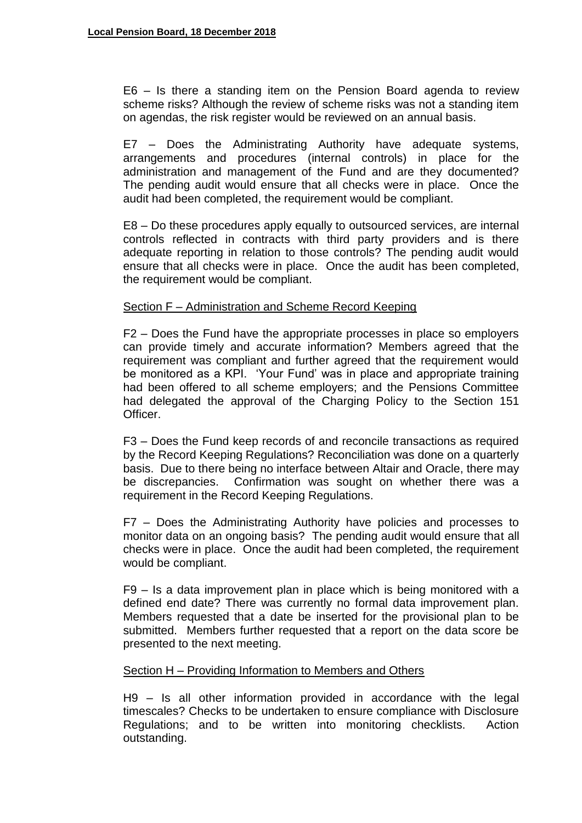E6 – Is there a standing item on the Pension Board agenda to review scheme risks? Although the review of scheme risks was not a standing item on agendas, the risk register would be reviewed on an annual basis.

E7 – Does the Administrating Authority have adequate systems, arrangements and procedures (internal controls) in place for the administration and management of the Fund and are they documented? The pending audit would ensure that all checks were in place. Once the audit had been completed, the requirement would be compliant.

E8 – Do these procedures apply equally to outsourced services, are internal controls reflected in contracts with third party providers and is there adequate reporting in relation to those controls? The pending audit would ensure that all checks were in place. Once the audit has been completed, the requirement would be compliant.

### Section F – Administration and Scheme Record Keeping

F2 – Does the Fund have the appropriate processes in place so employers can provide timely and accurate information? Members agreed that the requirement was compliant and further agreed that the requirement would be monitored as a KPI. 'Your Fund' was in place and appropriate training had been offered to all scheme employers; and the Pensions Committee had delegated the approval of the Charging Policy to the Section 151 Officer.

F3 – Does the Fund keep records of and reconcile transactions as required by the Record Keeping Regulations? Reconciliation was done on a quarterly basis. Due to there being no interface between Altair and Oracle, there may be discrepancies. Confirmation was sought on whether there was a requirement in the Record Keeping Regulations.

F7 – Does the Administrating Authority have policies and processes to monitor data on an ongoing basis? The pending audit would ensure that all checks were in place. Once the audit had been completed, the requirement would be compliant.

F9 – Is a data improvement plan in place which is being monitored with a defined end date? There was currently no formal data improvement plan. Members requested that a date be inserted for the provisional plan to be submitted. Members further requested that a report on the data score be presented to the next meeting.

#### Section H – Providing Information to Members and Others

H9 – Is all other information provided in accordance with the legal timescales? Checks to be undertaken to ensure compliance with Disclosure Regulations; and to be written into monitoring checklists. Action outstanding.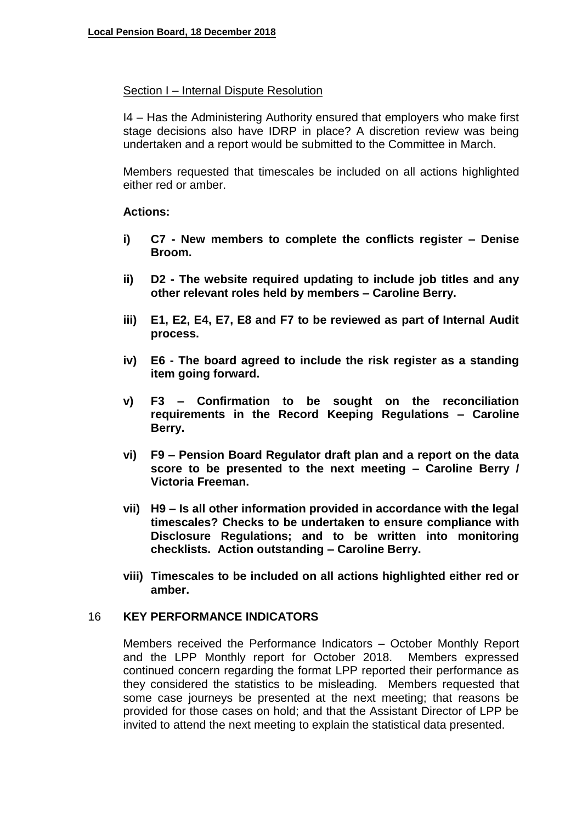#### Section I – Internal Dispute Resolution

I4 – Has the Administering Authority ensured that employers who make first stage decisions also have IDRP in place? A discretion review was being undertaken and a report would be submitted to the Committee in March.

Members requested that timescales be included on all actions highlighted either red or amber.

#### **Actions:**

- **i) C7 - New members to complete the conflicts register – Denise Broom.**
- **ii) D2 - The website required updating to include job titles and any other relevant roles held by members – Caroline Berry.**
- **iii) E1, E2, E4, E7, E8 and F7 to be reviewed as part of Internal Audit process.**
- **iv) E6 - The board agreed to include the risk register as a standing item going forward.**
- **v) F3 – Confirmation to be sought on the reconciliation requirements in the Record Keeping Regulations – Caroline Berry.**
- **vi) F9 – Pension Board Regulator draft plan and a report on the data score to be presented to the next meeting – Caroline Berry / Victoria Freeman.**
- **vii) H9 – Is all other information provided in accordance with the legal timescales? Checks to be undertaken to ensure compliance with Disclosure Regulations; and to be written into monitoring checklists. Action outstanding – Caroline Berry.**
- **viii) Timescales to be included on all actions highlighted either red or amber.**

## 16 **KEY PERFORMANCE INDICATORS**

Members received the Performance Indicators – October Monthly Report and the LPP Monthly report for October 2018. Members expressed continued concern regarding the format LPP reported their performance as they considered the statistics to be misleading. Members requested that some case journeys be presented at the next meeting; that reasons be provided for those cases on hold; and that the Assistant Director of LPP be invited to attend the next meeting to explain the statistical data presented.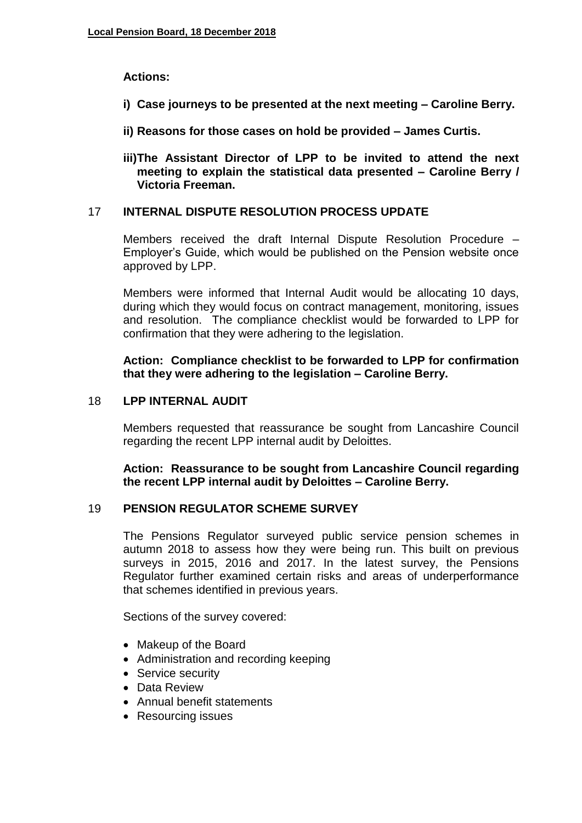# **Actions:**

- **i) Case journeys to be presented at the next meeting – Caroline Berry.**
- **ii) Reasons for those cases on hold be provided – James Curtis.**
- **iii)The Assistant Director of LPP to be invited to attend the next meeting to explain the statistical data presented – Caroline Berry / Victoria Freeman.**

# 17 **INTERNAL DISPUTE RESOLUTION PROCESS UPDATE**

Members received the draft Internal Dispute Resolution Procedure – Employer's Guide, which would be published on the Pension website once approved by LPP.

Members were informed that Internal Audit would be allocating 10 days, during which they would focus on contract management, monitoring, issues and resolution. The compliance checklist would be forwarded to LPP for confirmation that they were adhering to the legislation.

## **Action: Compliance checklist to be forwarded to LPP for confirmation that they were adhering to the legislation – Caroline Berry.**

## 18 **LPP INTERNAL AUDIT**

Members requested that reassurance be sought from Lancashire Council regarding the recent LPP internal audit by Deloittes.

## **Action: Reassurance to be sought from Lancashire Council regarding the recent LPP internal audit by Deloittes – Caroline Berry.**

## 19 **PENSION REGULATOR SCHEME SURVEY**

The Pensions Regulator surveyed public service pension schemes in autumn 2018 to assess how they were being run. This built on previous surveys in 2015, 2016 and 2017. In the latest survey, the Pensions Regulator further examined certain risks and areas of underperformance that schemes identified in previous years.

Sections of the survey covered:

- Makeup of the Board
- Administration and recording keeping
- Service security
- Data Review
- Annual benefit statements
- Resourcing issues